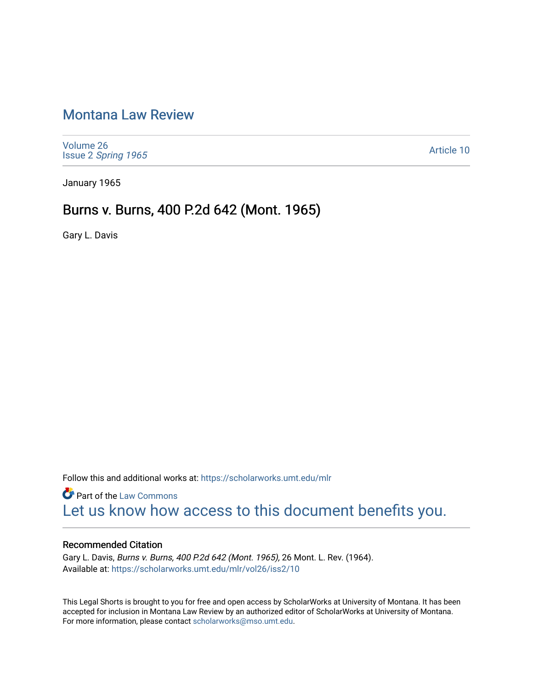# [Montana Law Review](https://scholarworks.umt.edu/mlr)

[Volume 26](https://scholarworks.umt.edu/mlr/vol26) Issue 2 [Spring 1965](https://scholarworks.umt.edu/mlr/vol26/iss2) 

[Article 10](https://scholarworks.umt.edu/mlr/vol26/iss2/10) 

January 1965

## Burns v. Burns, 400 P.2d 642 (Mont. 1965)

Gary L. Davis

Follow this and additional works at: [https://scholarworks.umt.edu/mlr](https://scholarworks.umt.edu/mlr?utm_source=scholarworks.umt.edu%2Fmlr%2Fvol26%2Fiss2%2F10&utm_medium=PDF&utm_campaign=PDFCoverPages) 

**Part of the [Law Commons](http://network.bepress.com/hgg/discipline/578?utm_source=scholarworks.umt.edu%2Fmlr%2Fvol26%2Fiss2%2F10&utm_medium=PDF&utm_campaign=PDFCoverPages)** [Let us know how access to this document benefits you.](https://goo.gl/forms/s2rGfXOLzz71qgsB2) 

## Recommended Citation

Gary L. Davis, Burns v. Burns, 400 P.2d 642 (Mont. 1965), 26 Mont. L. Rev. (1964). Available at: [https://scholarworks.umt.edu/mlr/vol26/iss2/10](https://scholarworks.umt.edu/mlr/vol26/iss2/10?utm_source=scholarworks.umt.edu%2Fmlr%2Fvol26%2Fiss2%2F10&utm_medium=PDF&utm_campaign=PDFCoverPages)

This Legal Shorts is brought to you for free and open access by ScholarWorks at University of Montana. It has been accepted for inclusion in Montana Law Review by an authorized editor of ScholarWorks at University of Montana. For more information, please contact [scholarworks@mso.umt.edu.](mailto:scholarworks@mso.umt.edu)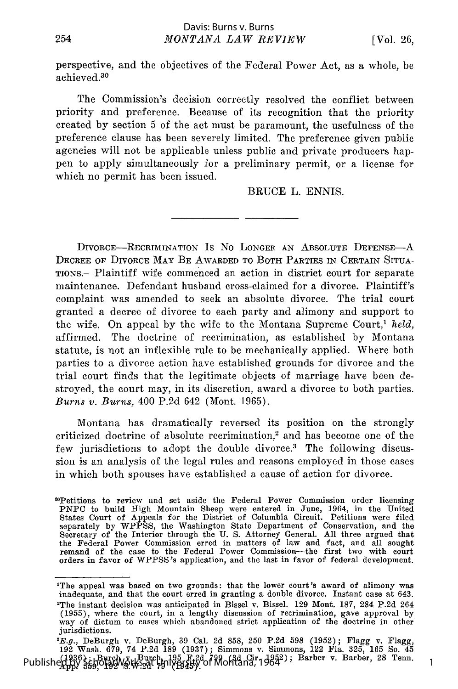perspective, and the objectives of the Federal Power Act, as a whole, be achieved. <sup>30</sup>

The Commission's decision correctly resolved the conflict between priority and preference. Because of its recognition that the priority created by section 5 of the act must be paramount, the usefulness of the preference clause has been severely limited. The preference given public agencies will not be applicable unless public and private producers happen to apply simultaneously for a preliminary permit, or a license for which no permit has been issued.

BRUCE L. ENNIS.

DIVORCE-RECRIMINATION IS NO LONGER AN ABSOLUTE DEFENSE-A DECREE OF DIVORCE MAY BE AWARDED TO BOTH PARTIES IN CERTAIN SITUA-TION.-Plaintiff wife commenced an action in district court for separate maintenance. Defendant husband cross-claimed for a divorce. Plaintiff's complaint was amended to seek an absolute divorce. The trial court granted a decree of divorce to each party and alimony and support to the wife. On appeal by the wife to the Montana Supreme Court,1 *held,* affirmed. The doctrine of recrimination, as established by Montana statute, is not an inflexible rule to be mechanically applied. Where both parties to a divorce action have established grounds for divorce and the trial court finds that the legitimate objects of marriage have been destroyed, the court may, in its discretion, award a divorce to both parties. *Burns v. Burns,* 400 P.2d 642 (Mont. 1965).

Montana has dramatically reversed its position on the strongly criticized doctrine of absolute recrimination,<sup>2</sup> and has become one of the few jurisdictions to adopt the double divorce.<sup>3</sup> The following discussion is an analysis of the legal rules and reasons employed in those cases in which both spouses have established a cause of action for divorce.

<sup>3</sup>Petitions to review and set aside the Federal Power Commission order licensing PNPC to build High Mountain Sheep were entered in June, 1964, in the United States Court of Appeals for the District of Columbia Circuit. Petitions were filed separately by WPPSS, the Washington State Department of Conservation, and the Secretary of the Interior through the U. S. Attorney General. All three argued that the Federal Power Commission erred in matters of law and fact, and all sought remand of the case to the Federal Power Commission—the first two with court<br>orders in favor of WPPSS's application, and the last in favor of fed

<sup>&#</sup>x27;The appeal was based on two grounds: that the lower court's award of alimony was inadequate, and that the court erred in granting a double divorce. Instant case at 643. 'The instant decision was anticipated in Bissel v. Bissel. 129 Mont. 187, 284 P.2d 264 (1955), where the court, in a lengthy discussion of recrimination, gave approval by way of dictum to cases which abandoned strict application of the doctrine in other jurisdictions.

<sup>.&</sup>lt;br>E.g., DeBurgh v. DeBurgh, 39 Cal. 2d 858, 250 P.2d 598 (1952); Flagg v. Flagg,<br>192 Wash. 679, 74 P.2d 189 (1937); Simmons v. Simmons, 122 Fla. 325, 165 So. 45 Published 1936); Burch, J. Burch, 195 F. 2d 799 (3d Cir. 1952); Barber v. Barber, 28 Tenn.<br>Published by State 192 (Stk-2dt Hull Barty of Montana, 1964); Barber v. Barber, 28 Tenn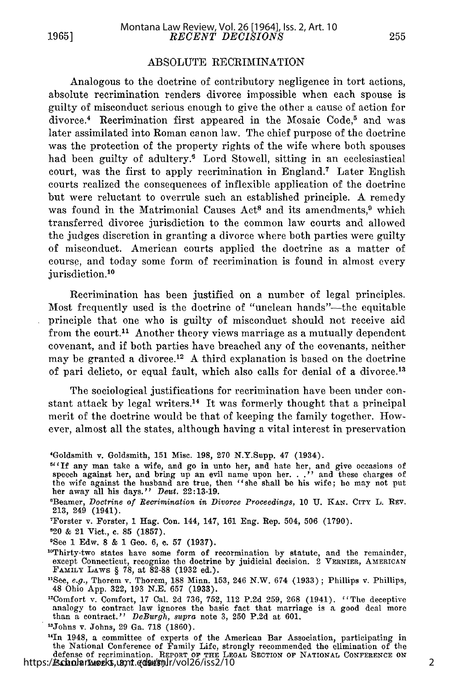**1965]**

#### ABSOLUTE RECRIMINATION

Analogous to the doctrine of contributory negligence in tort actions, absolute recrimination renders divorce impossible when each spouse is guilty of misconduct serious enough to give the other a cause of action for divorce.<sup>4</sup> Recrimination first appeared in the Mosaic Code,<sup>5</sup> and was later assimilated into Roman canon law. The chief purpose of the doctrine was the protection of the property rights of the wife where both spouses had been guilty of adultery.<sup>6</sup> Lord Stowell, sitting in an ecclesiastical court, was the first to apply recrimination in England.<sup>7</sup> Later English courts realized the consequences of inflexible application of the doctrine but were reluctant to overrule such an established principle. A remedy was found in the Matrimonial Causes  $Act^8$  and its amendments,  $9$  which transferred divorce jurisdiction to the common law courts and allowed the judges discretion in granting a divorce where both parties were guilty of misconduct. American courts applied the doctrine as a matter of course, and today some form of recrimination is found in almost every jurisdiction.<sup>10</sup>

Recrimination has been justified on a number of legal principles. Most frequently used is the doctrine of "unclean hands"—the equitable principle that one who is guilty of misconduct should not receive aid from the court.<sup>11</sup> Another theory views marriage as a mutually dependent covenant, and if both parties have breached any of the covenants, neither may be granted a divorce.<sup>12</sup> A third explanation is based on the doctrine of pari delicto, or equal fault, which also calls for denial of a divorce.<sup>13</sup>

The sociological justifications for recrimination have been under constant attack by legal writers.<sup>14</sup> It was formerly thought that a principal merit of the doctrine would be that of keeping the family together. However, almost all the states, although having a vital interest in preservation

- $5$ <sup>61</sup> If any man take a wife, and go in unto her, and hate her, and give occasions of speech against her, and bring up an evil name upon her. . ." and these charges of<br>the wife against the husband are true, then "she shall be his wife; he may not put<br>her away all his days." Deut. 22:13-19.
- 'Beamer, Doctrine of *Recrimination in Divorce Proceedings,* 10 U. **KAN. CITY** L. **REV.** 213, 249  $(1941)$
- Forster v. Forster, 1 Hag. Con. 144, 147, 161 Eng. Rep. 504, 506 (1790).
- 120 & 21 Vict., **c.** 85 (1857).
- 'See 1 Edw. 8 & 1 Geo. 6, **c.** 57 (1937).
- 10Thirty-two states have some form of recormination by statute, and the remainder, except Connecticut, recognize the doctrine by juidicial decision. 2 VERNIER, AMERICAN FAMILY LAWS § 78, at 82-88 (1932 ed.).
- <sup>11</sup>See, e.g., Thorem v. Thorem, 188 Minn. 153, 246 N.W. 674 (1933); Phillips v. Phillips<br>48 Ohio App. 322, 193 N.E. 657 (1933).
- <sup>12</sup>Comfort v. Comfort, 17 Cal. 2d 736, 752, 112 P.2d 259, 268 (1941). "The deceptive analogy to contract law ignores the basic fact that marriage is a good deal more than a contract." *DeBurgh*, *supra* note 3, 250 P.2d
- <sup>13</sup>Johns v. Johns, 29 Ga. 718 (1860).

<sup>14</sup>In 1948, a committee of experts of the American Bar Association, participating in the National Conference of Family Life, strongly recommended the elimination of the defense of recrimination. REPORT **OF THE LEGAL** SECTION OF NATIONAL **CONFERENCE ON** FAMILY **LIFE 1, 3,** 7 (1948). https://scholarworks.umt.edu/mlr/vol26/iss2/10

<sup>&#</sup>x27;Goldsmith v. Goldsmith, 151 Misc. 198, 270 N.Y.Supp. 47 (1934).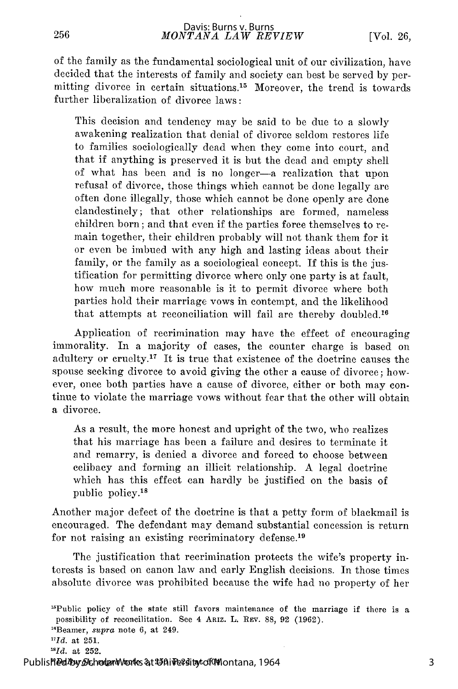of the family as the fundamental sociological unit of our civilization, have decided that the interests of family and society can best be served by permitting divorce in certain situations.<sup>15</sup> Moreover, the trend is towards further liberalization of divorce laws:

This decision and tendency may be said to be due to a slowly awakening realization that denial of divorce seldom restores life to families sociologically dead when they come into court, and that if anything is preserved it is but the dead and empty shell of what has been and is no longer-a realization that upon refusal of divorce, those things which cannot be done legally are often done illegally, those which cannot be done openly are done clandestinely; that other relationships are formed, nameless children born; and that even if the parties force themselves to remain together, their children probably will not thank them for it or even be imbued with any high and lasting ideas about their family, or the family as a sociological concept. If this is the justification for permitting divorce where only one party is at fault, how much more reasonable is it to permit divorce where both parties hold their marriage vows in contempt, and the likelihood that attempts at reconciliation will fail are thereby doubled.<sup>16</sup>

Application of recrimination may have the effect of encouraging immorality. In a majority of cases, the counter charge is based on adultery or cruelty.<sup>17</sup> It is true that existence of the doctrine causes the spouse seeking divorce to avoid giving the other a cause of divorce; however, once both parties have a cause of divorce, either or both may continue to violate the marriage vows without fear that the other will obtain a divorce.

As a result, the more honest and upright of the two, who realizes that his marriage has been a failure and desires to terminate it and remarry, is denied a divorce and forced to choose between celibacy and forming an illicit relationship. A legal doctrine which has this effect can hardly be justified on the basis of public policy.<sup>18</sup>

Another major defect of the doctrine is that a petty form of blackmail is encouraged. The defendant may demand substantial concession is return for not raising an existing recriminatory defense.<sup>19</sup>

The justification that recrimination protects the wife's property interests is based on canon law and early English decisions. In those times absolute divorce was prohibited because the wife had no property of her

256

 $^{15}$ Public policy of the state still favors maintenance of the marriage if there is a possibility of reconcilitation. See 4 ARIZ. L. REV. 88, 92 (1962).

<sup>&</sup>quot; 6 Beamer, *supra* note 6, at 249.

*<sup>7</sup>Id.* at 251.

*<sup>1</sup>Id.* at 252.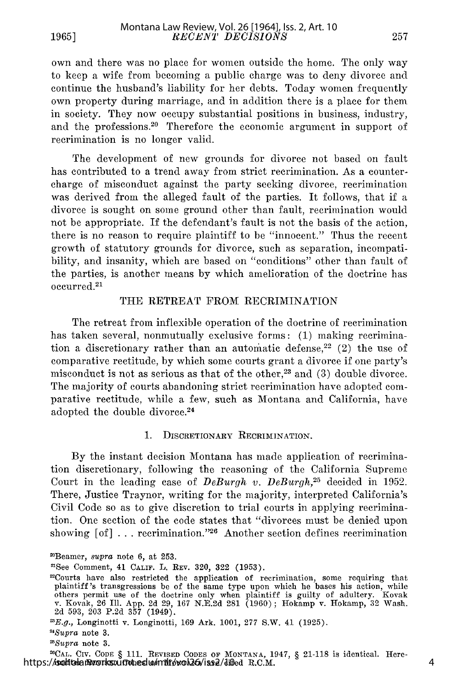own and there was no place for women outside the home. The only way to keep a wife from becoming a public charge was to deny divorce and continue the husband's liability for her debts. Today women frequently own property during marriage, and in addition there is a place for them in society. They now occupy substantial positions in business, industry, and the professions.<sup>20</sup> Therefore the economic argument in support of recrimination is no longer valid.

The development of new grounds for divorce not based on fault has contributed to a trend away from strict recrimination. As a countercharge of misconduct against the party seeking divorce, recrimination was derived from the alleged fault of the parties. It follows, that if a divorce is sought on some ground other than fault, recrimination would not be appropriate. If the defendant's fault is not the basis of the action, there is no reason to require plaintiff to be "innocent." Thus the recent growth of statutory grounds for divorce, such as separation, incompatibility, and insanity, which are based on "conditions" other than fault of the parties, is another means by which amelioration of the doctrine has occurred.21

#### THE RETREAT FROM RECRIMINATION

The retreat from inflexible operation of the doctrine of recrimination has taken several, nonmutually exclusive forms: (1) making recrimination a discretionary rather than an automatic defense,<sup>22</sup> (2) the use of comparative rectitude, by which some courts grant a divorce if one party's misconduct is not as serious as that of the other,<sup>23</sup> and  $(3)$  double divorce. The majority of courts abandoning strict recrimination have adopted comparative rectitude, while a few, such as Montana and California, have adopted the double divorce.<sup>24</sup>

#### 1. DISCRETIONARY RECRIMINATION.

By the instant decision Montana has made application of recrimination discretionary, following the reasoning of the California Supreme Court in the leading case of *DeBurgh v. DeBurgh,25* decided in 1952. There, Justice Traynor, writing for the majority, interpreted California's Civil Code so as to give discretion to trial courts in applying recrimination. One section of the code states that "divorces must be denied upon showing  $[of]$ ... recrimination."<sup>26</sup> Another section defines recrimination

**2'CAL.** CIV. **CODE** § 111. REVISED **CODES** OF **MONTANA,** 1947, § 21-118 is identical. Herehttps://schickaneworks.umtobedu/mlr/vol26/iss2/diffed R.C.M.

<sup>2</sup> Beamer, *supra* note 6, at 253.

<sup>&#</sup>x27;See Comment, 41 CALIF. L. REV. 320, 322 (1953).

<sup>&#</sup>x27;Courts have also restricted the application of recrimination, some requiring that plaintiff's transgressions be of the same type upon which he bases his action, while others permit use of the doctrine only when plaintiff is guilty of adultery. Kovak v. Kovak, 26 Ill. App. 2d 29, 167 N.E.2d 281 (1960); Hokamp v. Hokamp, 32 Wash. 2d 593, 203 P.2d 357 (1949).

<sup>&</sup>lt;sup>23</sup>E.g., Longinotti v. Longinotti, 169 Ark. 1001, 277 S.W. 41 (1925).

*I'Supra* note 3.

*<sup>&#</sup>x27;Supra* note 3.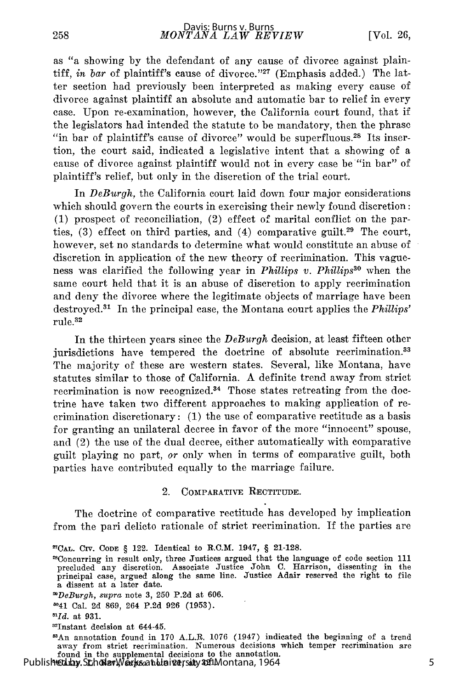as "a showing by the defendant of any cause of divorce against plaintiff, *in bar* of plaintiff's cause of divorce."<sup>27</sup> (Emphasis added.) The latter section had previously been interpreted as making every cause of divorce against plaintiff an absolute and automatic bar to relief in every case. Upon re-examination, however, the California court found, that if the legislators had intended the statute to be mandatory, then the phrase "in bar of plaintiff's cause of divorce" would be superfluous.<sup>28</sup> Its insertion, the court said, indicated a legislative intent that a showing of a cause of divorce against plaintiff would not in every case be "in bar" of plaintiff's relief, but only in the discretion of the trial court.

In *DeBurgh,* the California court laid down four major considerations which should govern the courts in exercising their newly found discretion: (1) prospect of reconciliation, (2) effect of marital conflict on the parties,  $(3)$  effect on third parties, and  $(4)$  comparative guilt.<sup>29</sup> The court, however, set no standards to determine what would constitute an abuse of discretion in application of the new theory of recrimination. This vagueness was clarified the following year in *Phillips v. Phillips<sup>30</sup>* when the same court held that it is an abuse of discretion to apply recrimination and deny the divorce where the legitimate objects of marriage have been destroyed. 31 In the principal case, the Montana court applies the *Phillips'* rule.<sup>32</sup>

In the thirteen years since the *DeBurgh* decision, at least fifteen other jurisdictions have tempered the doctrine of absolute recrimination.<sup>33</sup> The majority of these are western states. Several, like Montana, have statutes similar to those of California. A definite trend away from strict recrimination is now recognized.<sup>34</sup> Those states retreating from the doctrine have taken two different approaches to making application of recrimination discretionary: (1) the use of comparative rectitude as a basis for granting an unilateral decree in favor of the more "innocent" spouse, and (2) the use of the dual decree, either automatically with comparative guilt playing no part, or only when in terms of comparative guilt, both parties have contributed equally to the marriage failure.

## 2. COMPARATIVE RECTITUDE.

The doctrine of comparative rectitude has developed by implication from the pari delicto rationale of strict recrimination. If the parties are

'An annotation found in 170 A.L.R. 1076 (1947) indicated the beginning of a trend away from strict recrimination. Numerous decisions which temper recrimination are found in the supplemental decisions to the annotation.<br>Published by ScholarWorks at University of Montana, 1964

**<sup>2</sup>CAL.** CIV. CODE § 122. Identical to R.C.M. 1947, § **21-128.**

<sup>&#</sup>x27;8Concurring in result only, three Justices argued that the language of code section **111** precluded any discretion. Associate Justice John **C.** Harrison, dissenting in the principal case, argued along the same line. Justice Adair reserved the right to file a dissent at a later date.

*<sup>9</sup>DeBurgh, supra* note **3, 250 P.2d** at **606.**

**<sup>341</sup>** Cal. 2d 869, 264 **P.2d** 926 **(1953).**

*<sup>&#</sup>x27;"Id.* at 931.

<sup>&</sup>lt;sup>32</sup>Instant decision at 644-45.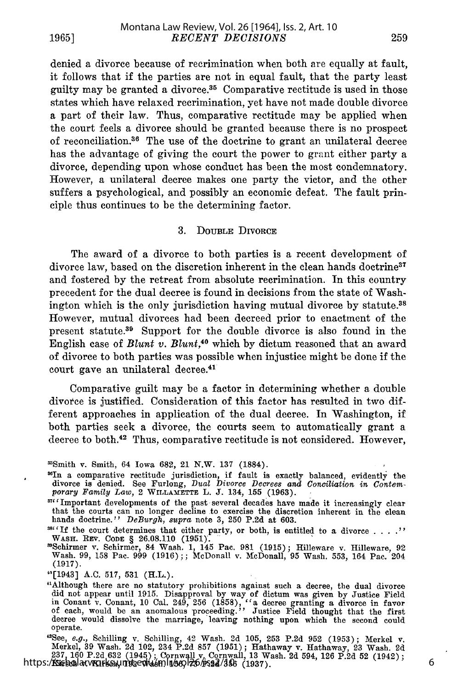**1965]**

denied a divorce because of recrimination when both arc equally at fault, it follows that if the parties are not in equal fault, that the party least guilty may be granted a divorce. 35 Comparative rectitude is used in those states which have relaxed recrimination, yet have not made double divorce a part of their law. Thus, comparative rectitude may be applied when the court feels a divorce should be granted because there is no prospect of reconciliation.<sup>36</sup> The use of the doctrine to grant an unilateral decree has the advantage of giving the court the power to grant either party a divorce, depending upon whose conduct has been the most condemnatory. However, a unilateral decree makes one party the victor, and the other suffers a psychological, and possibly an economic defeat. The fault principle thus continues to be the determining factor.

#### 3. DOUBLE DIVORCE

The award of a divorce to both parties is a recent development of divorce law, based on the discretion inherent in the clean hands doctrine<sup>37</sup> and fostered by the retreat from absolute recrimination. In this country precedent for the dual decree is found in decisions from the state of Washington which is the only jurisdiction having mutual divorce by statute.38 However, mutual divorces had been decreed prior to enactment of the present statute.<sup>39</sup> Support for the double divorce is also found in the English case of *Blunt v. Blunt,40* which by dictum reasoned that an award of divorce to both parties was possible when injustice might be done if the court gave an unilateral decree. <sup>41</sup>

Comparative guilt may be a factor in determining whether a double divorce is justified. Consideration of this factor has resulted in two different approaches in application of the dual decree. In Washington, if both parties seek a divorce, the courts seem to automatically grant a decree to both.42 Thus, comparative rectitude is not considered. However,

- 'SIn a comparative rectitude jurisdiction, if fault is exactly balanced, evidently the divorce is denied. See Furlong, *Dual Divorce Decrees and Conciliation in Contem-porary Family Law,* 2 WILLAMETTE L. J. 134, 155 (1963).
- '7"Important developments of the past-several decades have made it increasingly clear that the courts can no longer decline to exercise the discretion inherent in the clean hands doctrine." *DeBurgh, supra* note 3, **250** P.2d at 603.

'Schirmer v. Schirmer, 84 Wash. 1, 145 Pac. **981** (1915); Hilleware v. Hilleware, 92 Wash. 99, 158 Pac. 999 (1916);; McDonall v. McDonall, **95** Wash. 553, 164 Pac. 204 (1917).

"See, e.g., Schilling v. Schilling, 42 Wash. 2d 105, 253 P.2d 952 (1953); Merkel v.<br>Merkel, 39 Wash. 2d 102, 234 P.2d 857 (1951); Hathaway v. Hathaway, 23 Wash. 2d<br>237, 160 P.2d 632 (1945); Cornwall v. Cornwall, 13 Wash. 2

6

<sup>&#</sup>x27;Smith v. Smith, 64 Iowa 682, 21 N.W. **137** (1884).

<sup>&</sup>lt;sup>386</sup>'If the court determines that either party, or both, is entitled to a divorce . . . .'' WAsH. REV. CODE § 26.08.110 (1951).

<sup>&</sup>quot;[1943] A.C. 517, **531** (H.L.).

<sup>&</sup>quot;Although there are no statutory prohibitions against such a decree, the dual divorce did not appear until 1915. Disapproval by way of dictum was given by Justice Field<br>in Conant v. Conant, 10 Cal. 249, 256 (1858), "a decree granting a divorce in favor<br>of each, would be an anomalous proceeding." Justice Fie operate.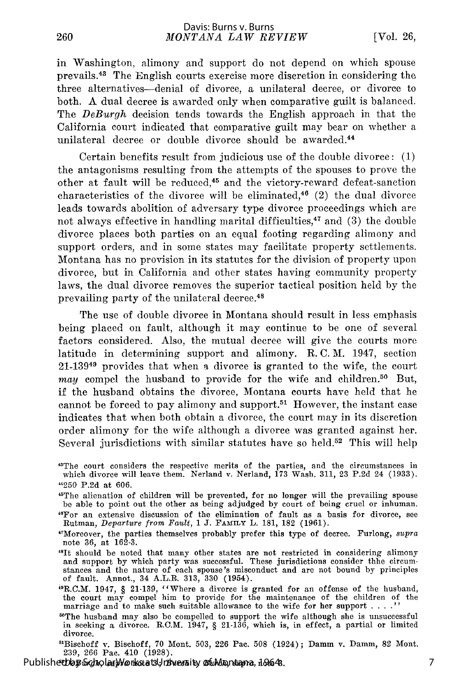260

in Washington, alimony and support do not depend on which spouse prevails.43 The English courts exercise more discretion in considering the three alternatives-denial of divorce, a unilateral decree, or divorce to both. A dual decree is awarded only when comparative guilt is balanced. The *DeBurgh* decision tends towards the English approach in that the California court indicated that comparative guilt may bear on whether a unilateral decree or double divorce should be awarded.<sup>44</sup>

Certain benefits result from judicious use of the double divorce: (1) the antagonisms resulting from the attempts of the spouses to prove the other at fault will be reduced,45 and the victory-reward defeat-sanction characteristics of the divorce will be eliminated, $46$  (2) the dual divorce leads towards abolition of adversary type divorce proceedings which are not always effective in handling marital difficulties,<sup>47</sup> and  $(3)$  the double divorce places both parties on an equal footing regarding alimony and support orders, and in some states may facilitate property settlements. Montana has no provision in its statutes for the division of property upon divorce, but in California and other states having community property laws, the dual divorce removes the superior tactical position held by the prevailing party of the unilateral decree. <sup>48</sup>

The use of double divorce in Montana should result in less emphasis being placed on fault, although it may continue to be one of several factors considered. Also, the mutual decree will give the courts more latitude in determining support and alimony. R. C. *M.* 1947, section 21-13949 provides that when a divorce is granted to the wife, the court *may* compel the husband to provide for the wife and children.<sup>50</sup> But, if the husband obtains the divorce, Montana courts have held that he cannot be forced to pay alimony and support.<sup>51</sup> However, the instant case indicates that when both obtain a divorce, the court may in its discretion order alimony for the wife although a divorce was granted against her. Several jurisdictions with similar statutes have so held.<sup>52</sup> This will help

- "'It should be noted that many other states are not restricted in considering alimony and support by which party was successful. These jurisdictions consider thhe circumstances and the nature of each spouse's misconduct and are not bound by principles of fault. Annot., 34 A.L.R. 313, 330 (1954).
- $P_{\rm R.C.M.}$  1947, § 21-139, "Where a divorce is granted for an offense of the husband the court may compel him to provide for the maintenance of the children of the marriage and to make such suitable allowance to the wife for her support . **.. ."**
- 'The husband may also be compelled to support the wife although she is unsuccessful in seeking a divorce. R.C.M. 1947, § 21-136, which is, in effect, a partial or limited divorce.

 $51B$ ischoff v. Bischoff, 70 Mont. 503, 226 Pac. 508 (1924); Damm v. Damm, 82 Mont. 239, 266 Pac. 410 (1928).

*52DeBurgh, supra* note **3;** *Burch* v. *Burch, supra* note 3. Published by ScholarWorks at University of Montana, 1964

<sup>&</sup>quot;The court considers the respective merits of the parties, and the circumstances in which divorce will leave them. Nerland v. Nerland, 173 Wash. 311, 23 P.2d 24 (1933). "250 P.2d at 606.

<sup>&</sup>quot;The alienation of children will be prevented, for no longer will the prevailing spouse be able to point out the other as being adjudged by court of being cruel or inhuman. "6For an extensive discussion of the elimination of fault as a basis for divorce, see Rutman, *Departure from Fault,* 1 J. FAMILY L. 181, 182 (1961).

<sup>&</sup>quot;7Moreover, the parties themselves probably prefer this type of decree. Furlong, *supra* note 36, at 162-3.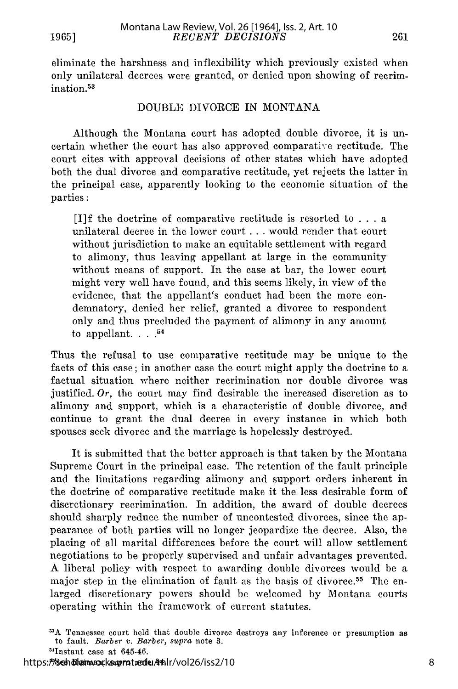eliminate the harshness and inflexibility which previously existed when only unilateral decrees were granted, or denied upon showing of recrimination. <sup>53</sup>

#### DOUBLE DIVORCE IN MONTANA

Although the Montana court has adopted double divorce, it is uncertain whether the court has also approved comparative rectitude. The court cites with approval decisions of other states which have adopted both the dual divorce and comparative rectitude, yet rejects the latter in the principal case, apparently looking to the economic situation of the parties:

[I]f the doctrine of comparative rectitude is resorted to . . . a unilateral decree in the lower court . . . would render that court without jurisdiction to make an equitable settlement with regard to alimony, thus leaving appellant at large in the community without means of support. In the case at bar, the lower court might very well have found, and this seems likely, in view of the evidence, that the appellant's conduct had been the more condemnatory, denied her relief, granted a divorce to respondent only and thus precluded the payment of alimony in any amount to appellant.  $\cdot \cdot \cdot$ .<sup>54</sup>

Thus the refusal to use comparative rectitude may be unique to the facts of this case; in another case the court might apply the doctrine to a factual situation where neither recrimination nor double divorce was justified. *Or,* the court may find desirable the increased discretion as to alimony and support, which is a characteristic of double divorce, and continue to grant the dual decree in every instance in which both spouses seek divorce and the marriage is hopelessly destroyed.

It is submitted that the better approach is that taken by the Montana Supreme Court in the principal case. The retention of the fault principle and the limitations regarding alimony and support orders inherent in the doctrine of comparative rectitude make it the less desirable form of discretionary recrimination. In addition, the award of double decrees should sharply reduce the number of uncontested divorces, since the appearance of both parties will no longer jeopardize the decree. Also, the placing of all marital differences before the court will allow settlement negotiations to be properly supervised and unfair advantages prevented. A liberal policy with respect to awarding double divorces would be a major step in the elimination of fault as the basis of divorce.<sup>55</sup> The enlarged discretionary powers should be welcomed by Montana courts operating within the framework of current statutes.

<sup>53</sup>A Tennessee court held that double divorce destroys any inference or presumption as to fault. *Barber v. Barber, supra* note 3.